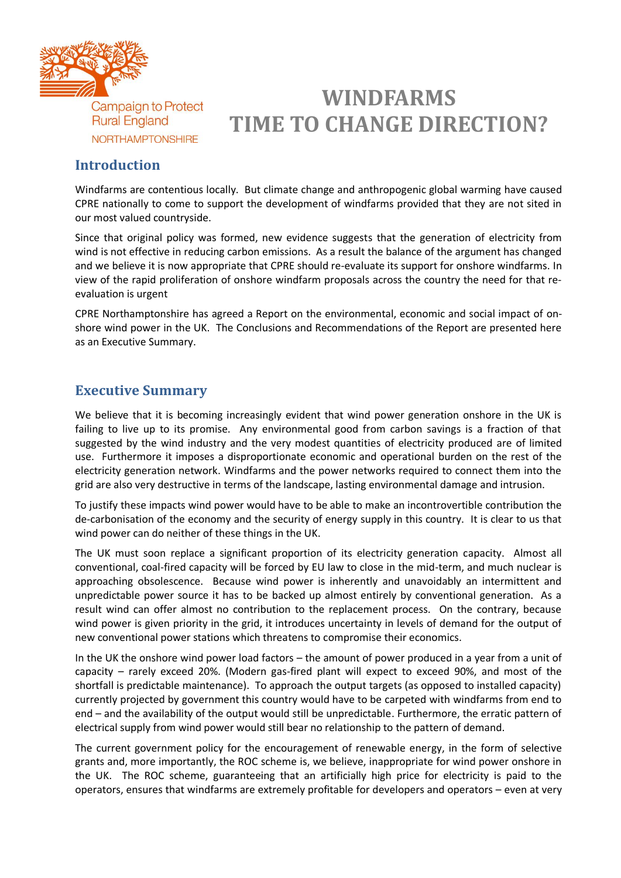

## **WINDFARMS TIME TO CHANGE DIRECTION?**

## **Introduction**

Windfarms are contentious locally. But climate change and anthropogenic global warming have caused CPRE nationally to come to support the development of windfarms provided that they are not sited in our most valued countryside.

Since that original policy was formed, new evidence suggests that the generation of electricity from wind is not effective in reducing carbon emissions. As a result the balance of the argument has changed and we believe it is now appropriate that CPRE should re-evaluate its support for onshore windfarms. In view of the rapid proliferation of onshore windfarm proposals across the country the need for that reevaluation is urgent

CPRE Northamptonshire has agreed a Report on the environmental, economic and social impact of onshore wind power in the UK. The Conclusions and Recommendations of the Report are presented here as an Executive Summary.

## **Executive Summary**

We believe that it is becoming increasingly evident that wind power generation onshore in the UK is failing to live up to its promise. Any environmental good from carbon savings is a fraction of that suggested by the wind industry and the very modest quantities of electricity produced are of limited use. Furthermore it imposes a disproportionate economic and operational burden on the rest of the electricity generation network. Windfarms and the power networks required to connect them into the grid are also very destructive in terms of the landscape, lasting environmental damage and intrusion.

To justify these impacts wind power would have to be able to make an incontrovertible contribution the de-carbonisation of the economy and the security of energy supply in this country. It is clear to us that wind power can do neither of these things in the UK.

The UK must soon replace a significant proportion of its electricity generation capacity. Almost all conventional, coal-fired capacity will be forced by EU law to close in the mid-term, and much nuclear is approaching obsolescence. Because wind power is inherently and unavoidably an intermittent and unpredictable power source it has to be backed up almost entirely by conventional generation. As a result wind can offer almost no contribution to the replacement process. On the contrary, because wind power is given priority in the grid, it introduces uncertainty in levels of demand for the output of new conventional power stations which threatens to compromise their economics.

In the UK the onshore wind power load factors – the amount of power produced in a year from a unit of capacity – rarely exceed 20%. (Modern gas-fired plant will expect to exceed 90%, and most of the shortfall is predictable maintenance). To approach the output targets (as opposed to installed capacity) currently projected by government this country would have to be carpeted with windfarms from end to end – and the availability of the output would still be unpredictable. Furthermore, the erratic pattern of electrical supply from wind power would still bear no relationship to the pattern of demand.

The current government policy for the encouragement of renewable energy, in the form of selective grants and, more importantly, the ROC scheme is, we believe, inappropriate for wind power onshore in the UK. The ROC scheme, guaranteeing that an artificially high price for electricity is paid to the operators, ensures that windfarms are extremely profitable for developers and operators – even at very